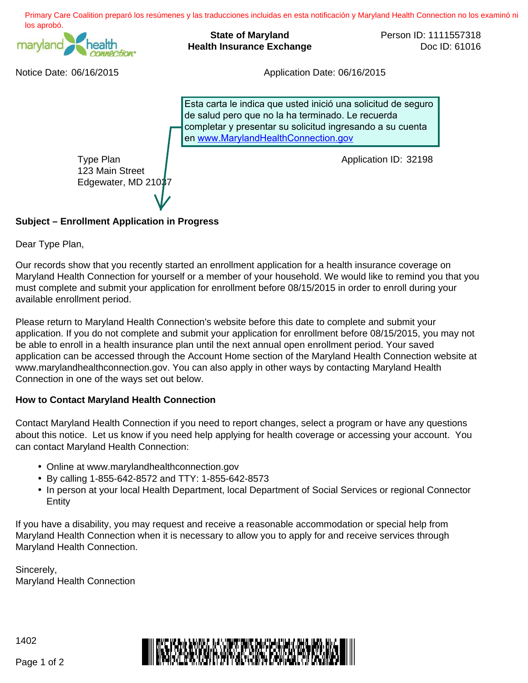

## **Subject – Enrollment Application in Progress**

Dear Type Plan,

Our records show that you recently started an enrollment application for a health insurance coverage on Maryland Health Connection for yourself or a member of your household. We would like to remind you that you must complete and submit your application for enrollment before 08/15/2015 in order to enroll during your available enrollment period.

Please return to Maryland Health Connection's website before this date to complete and submit your application. If you do not complete and submit your application for enrollment before 08/15/2015, you may not be able to enroll in a health insurance plan until the next annual open enrollment period. Your saved application can be accessed through the Account Home section of the Maryland Health Connection website at www.marylandhealthconnection.gov. You can also apply in other ways by contacting Maryland Health Connection in one of the ways set out below.

## **How to Contact Maryland Health Connection**

Contact Maryland Health Connection if you need to report changes, select a program or have any questions about this notice. Let us know if you need help applying for health coverage or accessing your account. You can contact Maryland Health Connection:

- Online at www.marylandhealthconnection.gov
- By calling 1-855-642-8572 and TTY: 1-855-642-8573
- In person at your local Health Department, local Department of Social Services or regional Connector **Entity**

If you have a disability, you may request and receive a reasonable accommodation or special help from Maryland Health Connection when it is necessary to allow you to apply for and receive services through Maryland Health Connection.

Sincerely,

1402



Page 1 of 2